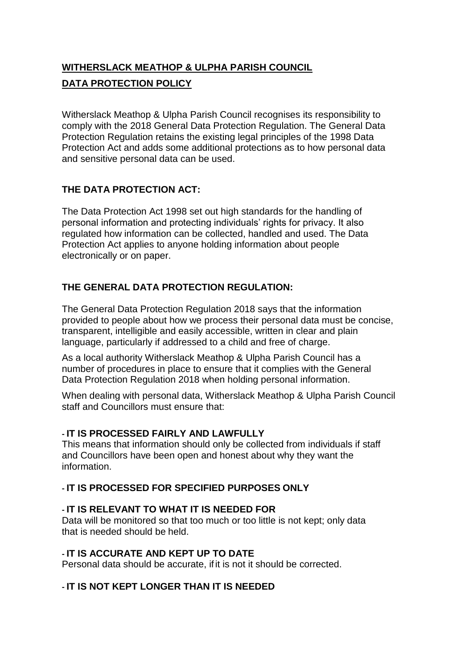# **WITHERSLACK MEATHOP & ULPHA PARISH COUNCIL DATA PROTECTION POLICY**

Witherslack Meathop & Ulpha Parish Council recognises its responsibility to comply with the 2018 General Data Protection Regulation. The General Data Protection Regulation retains the existing legal principles of the 1998 Data Protection Act and adds some additional protections as to how personal data and sensitive personal data can be used.

# **THE DATA PROTECTION ACT:**

The Data Protection Act 1998 set out high standards for the handling of personal information and protecting individuals' rights for privacy. It also regulated how information can be collected, handled and used. The Data Protection Act applies to anyone holding information about people electronically or on paper.

# **THE GENERAL DATA PROTECTION REGULATION:**

The General Data Protection Regulation 2018 says that the information provided to people about how we process their personal data must be concise, transparent, intelligible and easily accessible, written in clear and plain language, particularly if addressed to a child and free of charge.

As a local authority Witherslack Meathop & Ulpha Parish Council has a number of procedures in place to ensure that it complies with the General Data Protection Regulation 2018 when holding personal information.

When dealing with personal data, Witherslack Meathop & Ulpha Parish Council staff and Councillors must ensure that:

## **- IT IS PROCESSED FAIRLY AND LAWFULLY**

This means that information should only be collected from individuals if staff and Councillors have been open and honest about why they want the information.

#### **- IT IS PROCESSED FOR SPECIFIED PURPOSES ONLY**

## **- IT IS RELEVANT TO WHAT IT IS NEEDED FOR**

Data will be monitored so that too much or too little is not kept; only data that is needed should be held.

## **- IT IS ACCURATE AND KEPT UP TO DATE**

Personal data should be accurate, if it is not it should be corrected.

## **- IT IS NOT KEPT LONGER THAN IT IS NEEDED**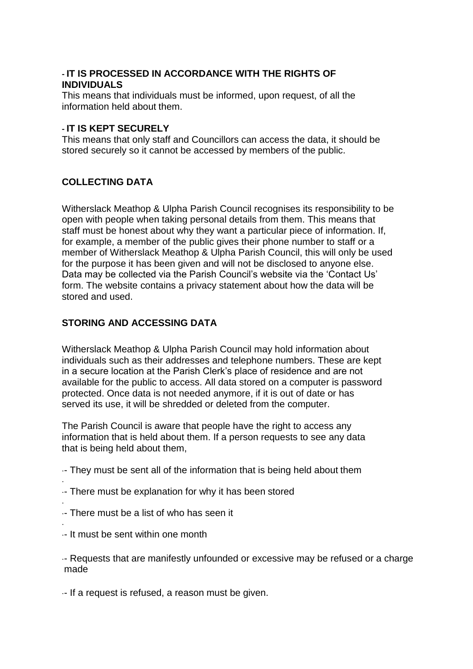#### **- IT IS PROCESSED IN ACCORDANCE WITH THE RIGHTS OF INDIVIDUALS**

This means that individuals must be informed, upon request, of all the information held about them.

#### **- IT IS KEPT SECURELY**

This means that only staff and Councillors can access the data, it should be stored securely so it cannot be accessed by members of the public.

## **COLLECTING DATA**

Witherslack Meathop & Ulpha Parish Council recognises its responsibility to be open with people when taking personal details from them. This means that staff must be honest about why they want a particular piece of information. If, for example, a member of the public gives their phone number to staff or a member of Witherslack Meathop & Ulpha Parish Council, this will only be used for the purpose it has been given and will not be disclosed to anyone else. Data may be collected via the Parish Council's website via the 'Contact Us' form. The website contains a privacy statement about how the data will be stored and used.

## **STORING AND ACCESSING DATA**

Witherslack Meathop & Ulpha Parish Council may hold information about individuals such as their addresses and telephone numbers. These are kept in a secure location at the Parish Clerk's place of residence and are not available for the public to access. All data stored on a computer is password protected. Once data is not needed anymore, if it is out of date or has served its use, it will be shredded or deleted from the computer.

The Parish Council is aware that people have the right to access any information that is held about them. If a person requests to see any data that is being held about them,

·- They must be sent all of the information that is being held about them

- · ·- There must be explanation for why it has been stored
- · ·- There must be a list of who has seen it
- · ·- It must be sent within one month

·- Requests that are manifestly unfounded or excessive may be refused or a charge made

·- If a request is refused, a reason must be given.